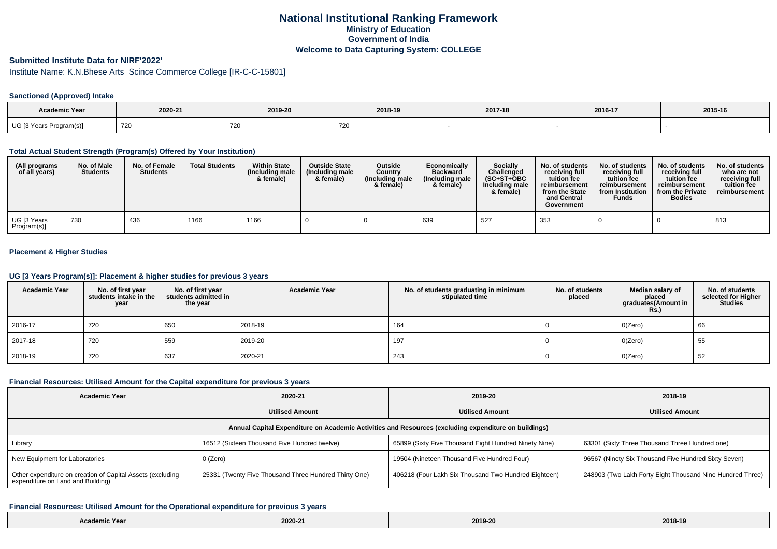# **National Institutional Ranking FrameworkMinistry of Education Government of IndiaWelcome to Data Capturing System: COLLEGE**

### **Submitted Institute Data for NIRF'2022'**

Institute Name: K.N.Bhese Arts Scince Commerce College [IR-C-C-15801]

#### **Sanctioned (Approved) Intake**

| <b>Academic Year</b>                            | 2020-21 | 2019-20 | 2018-19 | 2017-18 | 2016-17 | 2015-16 |
|-------------------------------------------------|---------|---------|---------|---------|---------|---------|
| UG [3 Years Program(s)]<br>$\sim$ $\sim$ $\sim$ | 720     | 720     | 72 U    |         |         |         |

### **Total Actual Student Strength (Program(s) Offered by Your Institution)**

| (All programs<br>of all years) | No. of Male<br><b>Students</b> | No. of Female<br><b>Students</b> | <b>Total Students</b> | <b>Within State</b><br>(Including male<br>& female) | <b>Outside State</b><br>(Including male<br>& female) | <b>Outside</b><br>Country<br>(Including male<br>& female) | Economically<br><b>Backward</b><br>(Including male<br>& female) | <b>Socially</b><br>Challenged<br>$(SC+ST+OBC)$<br>Including male<br>& female) | No. of students<br>receivina full<br>tuition fee<br>reimbursement<br>from the State<br>and Central<br>Government | No. of students<br>receiving full<br>tuition fee<br>reimbursement<br>from Institution<br><b>Funds</b> | No. of students<br>receiving full<br>tuition fee<br>reimbursement<br>from the Private<br><b>Bodies</b> | No. of students<br>who are not<br>receiving full<br>tuition fee<br>reimbursement |
|--------------------------------|--------------------------------|----------------------------------|-----------------------|-----------------------------------------------------|------------------------------------------------------|-----------------------------------------------------------|-----------------------------------------------------------------|-------------------------------------------------------------------------------|------------------------------------------------------------------------------------------------------------------|-------------------------------------------------------------------------------------------------------|--------------------------------------------------------------------------------------------------------|----------------------------------------------------------------------------------|
| UG [3 Years<br>Program(s)]     | 730                            | 436                              | 1166                  | 1166                                                |                                                      |                                                           | 639                                                             | 527                                                                           | 353                                                                                                              |                                                                                                       |                                                                                                        | 813                                                                              |

#### **Placement & Higher Studies**

### **UG [3 Years Program(s)]: Placement & higher studies for previous 3 years**

| <b>Academic Year</b> | No. of first year<br>students intake in the<br>year | No. of first year<br>students admitted in<br>the year | <b>Academic Year</b> | No. of students graduating in minimum<br>stipulated time | No. of students<br>placed | Median salary of<br>placed<br>graduates(Amount in<br><b>Rs.)</b> | No. of students<br>selected for Higher<br><b>Studies</b> |
|----------------------|-----------------------------------------------------|-------------------------------------------------------|----------------------|----------------------------------------------------------|---------------------------|------------------------------------------------------------------|----------------------------------------------------------|
| 2016-17              | 720                                                 | 650                                                   | 2018-19              | 164                                                      |                           | O(Zero)                                                          | 66                                                       |
| 2017-18              | 720                                                 | 559                                                   | 2019-20              | 197                                                      |                           | O(Zero)                                                          | 55                                                       |
| 2018-19              | 720                                                 | 637                                                   | 2020-21              | 243                                                      |                           | O(Zero)                                                          | 52                                                       |

#### **Financial Resources: Utilised Amount for the Capital expenditure for previous 3 years**

| <b>Academic Year</b>                                                                                 | 2020-21                                               | 2019-20                                               | 2018-19                                                   |  |  |  |  |  |  |
|------------------------------------------------------------------------------------------------------|-------------------------------------------------------|-------------------------------------------------------|-----------------------------------------------------------|--|--|--|--|--|--|
|                                                                                                      | <b>Utilised Amount</b>                                | <b>Utilised Amount</b>                                | <b>Utilised Amount</b>                                    |  |  |  |  |  |  |
| Annual Capital Expenditure on Academic Activities and Resources (excluding expenditure on buildings) |                                                       |                                                       |                                                           |  |  |  |  |  |  |
| Library                                                                                              | 16512 (Sixteen Thousand Five Hundred twelve)          | 65899 (Sixty Five Thousand Eight Hundred Ninety Nine) | 63301 (Sixty Three Thousand Three Hundred one)            |  |  |  |  |  |  |
| New Equipment for Laboratories                                                                       | 0 (Zero)                                              | 19504 (Nineteen Thousand Five Hundred Four)           | 96567 (Ninety Six Thousand Five Hundred Sixty Seven)      |  |  |  |  |  |  |
| Other expenditure on creation of Capital Assets (excluding<br>expenditure on Land and Building)      | 25331 (Twenty Five Thousand Three Hundred Thirty One) | 406218 (Four Lakh Six Thousand Two Hundred Eighteen)  | 248903 (Two Lakh Forty Eight Thousand Nine Hundred Three) |  |  |  |  |  |  |

#### **Financial Resources: Utilised Amount for the Operational expenditure for previous 3 years**

| $-$<br>Academic Year | the contract of the contract of the<br>2020-21 | 2019-20 | 2018-19 |
|----------------------|------------------------------------------------|---------|---------|
|----------------------|------------------------------------------------|---------|---------|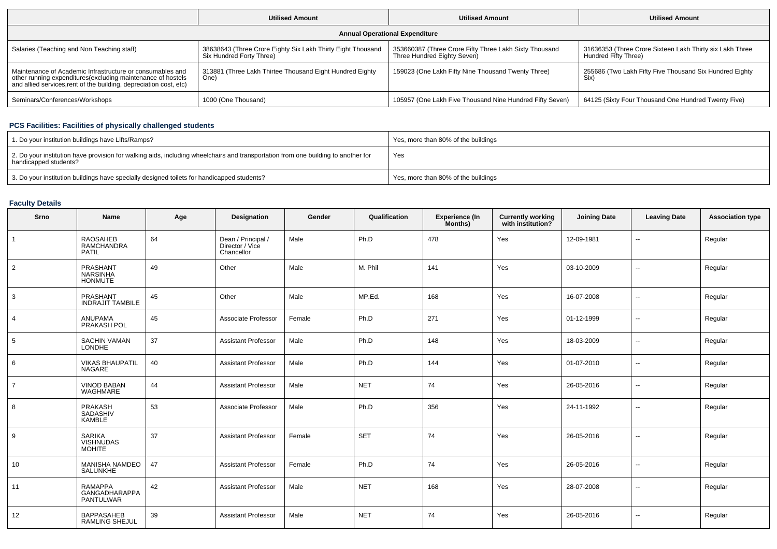|                                                                                                                                                                                                 | <b>Utilised Amount</b>                                                                  | <b>Utilised Amount</b>                                                                | <b>Utilised Amount</b>                                                           |  |  |  |  |  |
|-------------------------------------------------------------------------------------------------------------------------------------------------------------------------------------------------|-----------------------------------------------------------------------------------------|---------------------------------------------------------------------------------------|----------------------------------------------------------------------------------|--|--|--|--|--|
| <b>Annual Operational Expenditure</b>                                                                                                                                                           |                                                                                         |                                                                                       |                                                                                  |  |  |  |  |  |
| Salaries (Teaching and Non Teaching staff)                                                                                                                                                      | 38638643 (Three Crore Eighty Six Lakh Thirty Eight Thousand<br>Six Hundred Forty Three) | 353660387 (Three Crore Fifty Three Lakh Sixty Thousand<br>Three Hundred Eighty Seven) | 31636353 (Three Crore Sixteen Lakh Thirty six Lakh Three<br>Hundred Fifty Three) |  |  |  |  |  |
| Maintenance of Academic Infrastructure or consumables and<br>other running expenditures (excluding maintenance of hostels<br>and allied services, rent of the building, depreciation cost, etc) | 313881 (Three Lakh Thirtee Thousand Eight Hundred Eighty<br>One)                        | 159023 (One Lakh Fifty Nine Thousand Twenty Three)                                    | 255686 (Two Lakh Fifty Five Thousand Six Hundred Eighty<br>Six)                  |  |  |  |  |  |
| Seminars/Conferences/Workshops                                                                                                                                                                  | 1000 (One Thousand)                                                                     | 105957 (One Lakh Five Thousand Nine Hundred Fifty Seven)                              | 64125 (Sixty Four Thousand One Hundred Twenty Five)                              |  |  |  |  |  |

## **PCS Facilities: Facilities of physically challenged students**

| 1. Do your institution buildings have Lifts/Ramps?                                                                                                         | Yes, more than 80% of the buildings |
|------------------------------------------------------------------------------------------------------------------------------------------------------------|-------------------------------------|
| 2. Do your institution have provision for walking aids, including wheelchairs and transportation from one building to another for<br>handicapped students? | Yes                                 |
| 3. Do your institution buildings have specially designed toilets for handicapped students?                                                                 | Yes, more than 80% of the buildings |

## **Faculty Details**

| Srno           | Name                                               | Age | Designation                                         | Gender | Qualification | Experience (In<br>Months) | <b>Currently working</b><br>with institution? | <b>Joining Date</b> | <b>Leaving Date</b>      | <b>Association type</b> |
|----------------|----------------------------------------------------|-----|-----------------------------------------------------|--------|---------------|---------------------------|-----------------------------------------------|---------------------|--------------------------|-------------------------|
| $\overline{1}$ | <b>RAOSAHEB</b><br>RAMCHANDRA<br>PATIL             | 64  | Dean / Principal /<br>Director / Vice<br>Chancellor | Male   | Ph.D          | 478                       | Yes                                           | 12-09-1981          | $\overline{\phantom{a}}$ | Regular                 |
| $\overline{2}$ | PRASHANT<br><b>NARSINHA</b><br><b>HONMUTE</b>      | 49  | Other                                               | Male   | M. Phil       | 141                       | Yes                                           | 03-10-2009          | ⊷.                       | Regular                 |
| 3              | PRASHANT<br><b>INDRAJIT TAMBILE</b>                | 45  | Other                                               | Male   | MP.Ed.        | 168                       | Yes                                           | 16-07-2008          | $\overline{\phantom{a}}$ | Regular                 |
| $\overline{4}$ | ANUPAMA<br>PRAKASH POL                             | 45  | Associate Professor                                 | Female | Ph.D          | 271                       | Yes                                           | 01-12-1999          | ⊷.                       | Regular                 |
| 5              | <b>SACHIN VAMAN</b><br><b>LONDHE</b>               | 37  | <b>Assistant Professor</b>                          | Male   | Ph.D          | 148                       | Yes                                           | 18-03-2009          | ⊷.                       | Regular                 |
| 6              | <b>VIKAS BHAUPATIL</b><br>NAGARE                   | 40  | <b>Assistant Professor</b>                          | Male   | Ph.D          | 144                       | Yes                                           | 01-07-2010          | $\overline{\phantom{a}}$ | Regular                 |
| $\overline{7}$ | <b>VINOD BABAN</b><br>WAGHMARE                     | 44  | <b>Assistant Professor</b>                          | Male   | <b>NET</b>    | 74                        | Yes                                           | 26-05-2016          | $\overline{\phantom{a}}$ | Regular                 |
| 8              | PRAKASH<br>SADASHIV<br><b>KAMBLE</b>               | 53  | Associate Professor                                 | Male   | Ph.D          | 356                       | Yes                                           | 24-11-1992          | $\overline{\phantom{a}}$ | Regular                 |
| 9              | <b>SARIKA</b><br><b>VISHNUDAS</b><br><b>MOHITE</b> | 37  | <b>Assistant Professor</b>                          | Female | <b>SET</b>    | 74                        | Yes                                           | 26-05-2016          | $\overline{\phantom{a}}$ | Regular                 |
| 10             | <b>MANISHA NAMDEO</b><br>SALUNKHE                  | 47  | <b>Assistant Professor</b>                          | Female | Ph.D          | 74                        | Yes                                           | 26-05-2016          | $\overline{\phantom{a}}$ | Regular                 |
| 11             | <b>RAMAPPA</b><br>GANGADHARAPPA<br>PANTULWAR       | 42  | <b>Assistant Professor</b>                          | Male   | <b>NET</b>    | 168                       | Yes                                           | 28-07-2008          | $\overline{\phantom{a}}$ | Regular                 |
| 12             | <b>BAPPASAHEB</b><br><b>RAMLING SHEJUL</b>         | 39  | <b>Assistant Professor</b>                          | Male   | <b>NET</b>    | 74                        | Yes                                           | 26-05-2016          | $\overline{\phantom{a}}$ | Regular                 |